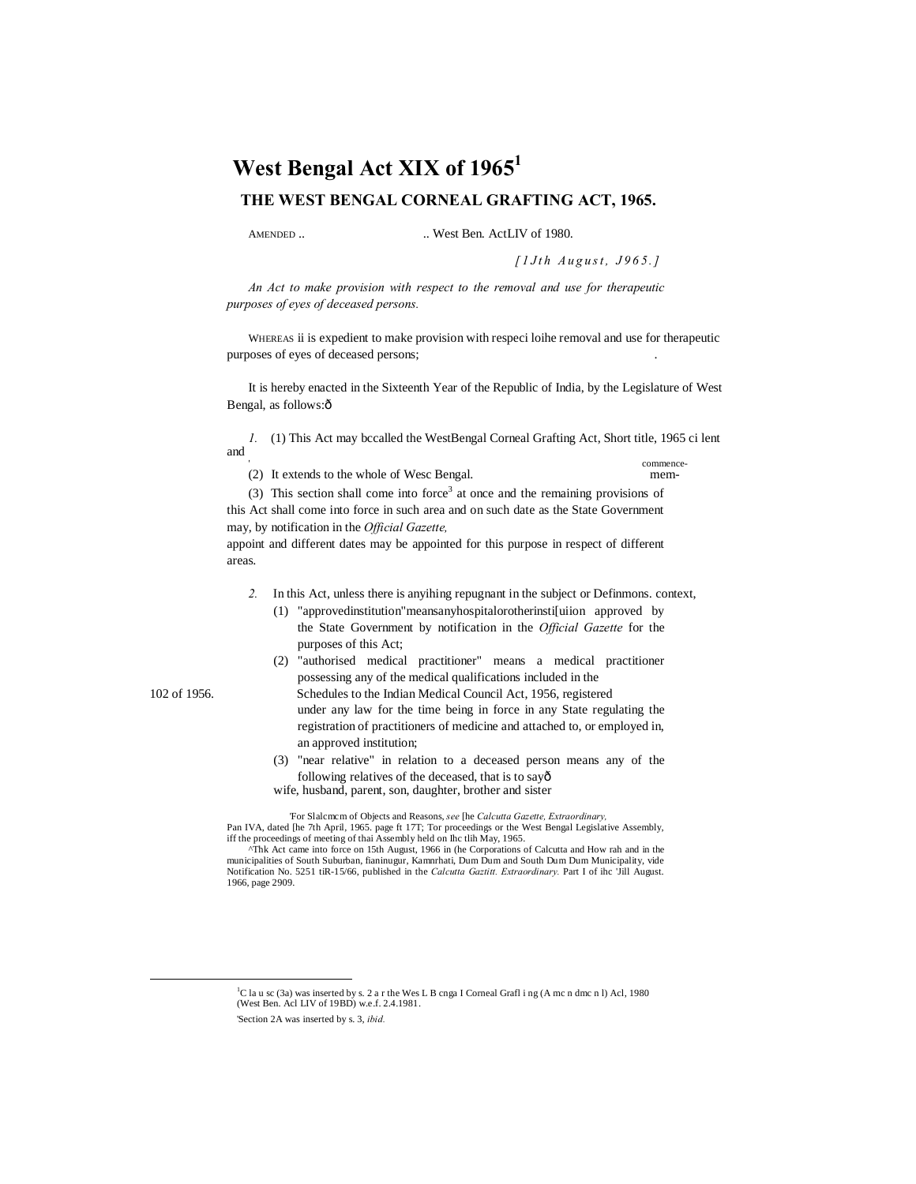# West Bengal Act XIX of 1965<sup>1</sup> **THE WEST BENGAL CORNEAL GRAFTING ACT, 1965.**

AMENDED .. West Ben. ActLIV of 1980.

*[ 1 J t h A u g u s t , J 9 6 5. ]*

*An Act to make provision with respect to the removal and use for therapeutic purposes of eyes of deceased persons.*

WHEREAS ii is expedient to make provision with respeci loihe removal and use for therapeutic purposes of eyes of deceased persons; .

It is hereby enacted in the Sixteenth Year of the Republic of India, by the Legislature of West Bengal, as follows: $\hat{o}$ 

*1.* (1) This Act may bccalled the WestBengal Corneal Grafting Act, Short title, 1965 ci lent and '

commence- (2) It extends to the whole of Wesc Bengal. mem-

(3) This section shall come into force<sup>3</sup> at once and the remaining provisions of this Act shall come into force in such area and on such date as the State Government may, by notification in the *Official Gazette,*

appoint and different dates may be appointed for this purpose in respect of different areas.

*2.* In this Act, unless there is anyihing repugnant in the subject or Definmons. context,

(1) "approvedinstitution"meansanyhospitalorotherinsti[uiion approved by the State Government by notification in the *Official Gazette* for the purposes of this Act;

(2) "authorised medical practitioner" means a medical practitioner possessing any of the medical qualifications included in the

102 of 1956. Schedules to the Indian Medical Council Act, 1956, registered under any law for the time being in force in any State regulating the registration of practitioners of medicine and attached to, or employed in, an approved institution;

> (3) "near relative" in relation to a deceased person means any of the following relatives of the deceased, that is to sayô wife, husband, parent, son, daughter, brother and sister

'For Slalcmcm of Objects and Reasons, *see* [he *Calcutta Gazette, Extraordinary,* Pan IVA, dated [he 7th April, 1965. page ft 17T; Tor proceedings or the West Bengal Legislative Assembly, iff the proceedings of meeting of thai Assembly held on Ihc tlih May, 1965.

<sup>^</sup>Thk Act came into force on 15th August, 1966 in (he Corporations of Calcutta and How rah and in the municipalities of South Suburban, fianinugur, Kamnrhati, Dum Dum and South Dum Dum Municipality, vide Notification No. 5251 tiR-15/66, published in the *Calcutta Gaztitt. Extraordinary.* Part I of ihc 'Jill August. 1966, page 2909.

 <sup>1</sup> C la u sc (3a) was inserted by s. 2 a r the Wes L B cnga I Corneal Grafl i ng (A mc n dmc n l) Acl, 1980 (West Ben. Acl LIV of 19BD) w.e.f. 2.4.1981. 'Section 2A was inserted by s. 3, *ibid.*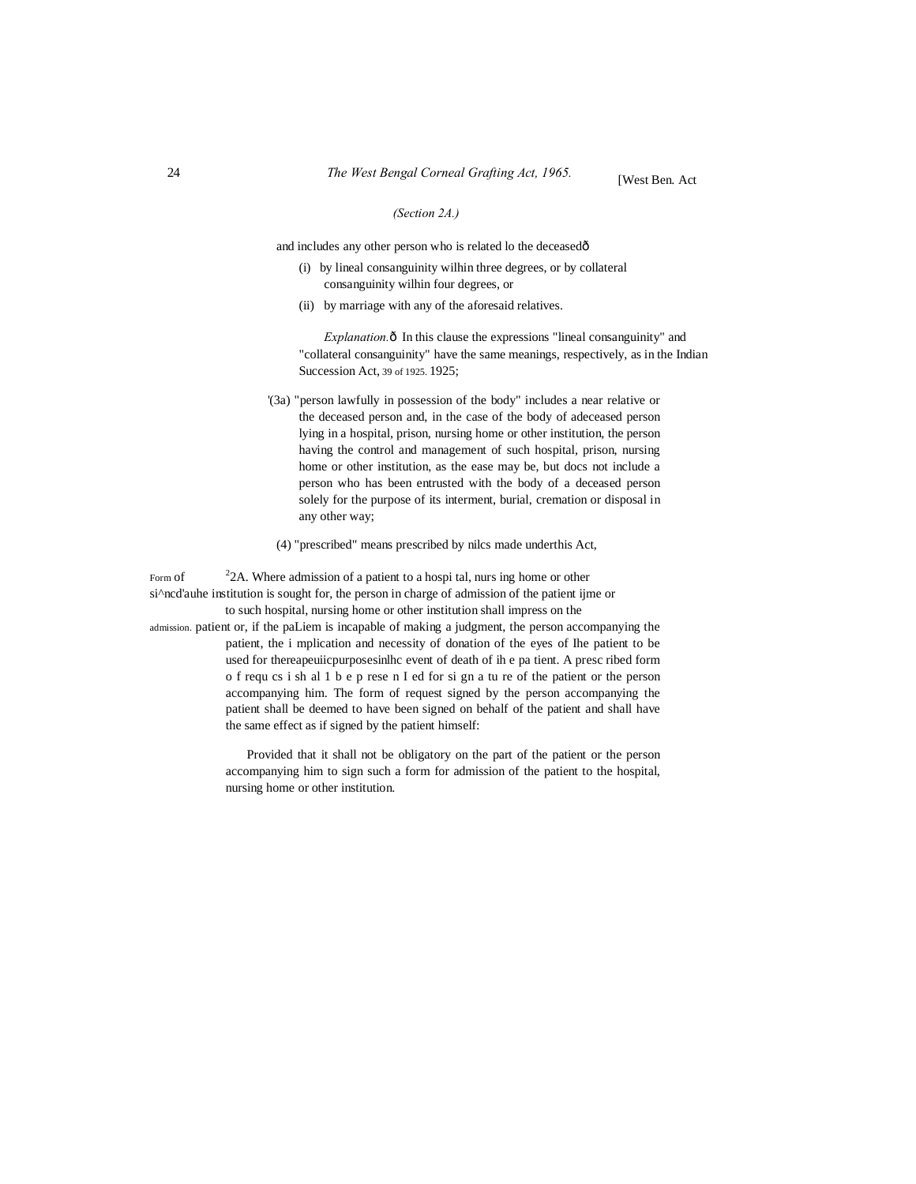#### *(Section 2A.)*

and includes any other person who is related lo the deceasedô

- (i) by lineal consanguinity wilhin three degrees, or by collateral consanguinity wilhin four degrees, or
- (ii) by marriage with any of the aforesaid relatives.

*Explanation.* ô In this clause the expressions "lineal consanguinity" and "collateral consanguinity" have the same meanings, respectively, as in the Indian Succession Act, 39 of 1925. 1925;

- '(3a) "person lawfully in possession of the body" includes a near relative or the deceased person and, in the case of the body of adeceased person lying in a hospital, prison, nursing home or other institution, the person having the control and management of such hospital, prison, nursing home or other institution, as the ease may be, but docs not include a person who has been entrusted with the body of a deceased person solely for the purpose of its interment, burial, cremation or disposal in any other way;
- (4) "prescribed" means prescribed by nilcs made underthis Act,

Form of  $22A$ . Where admission of a patient to a hospi tal, nurs ing home or other si<sup> $\land$ </sup>ncd'auhe institution is sought for, the person in charge of admission of the patient ijme or to such hospital, nursing home or other institution shall impress on the

admission. patient or, if the paLiem is incapable of making a judgment, the person accompanying the patient, the i mplication and necessity of donation of the eyes of Ihe patient to be used for thereapeuiicpurposesinlhc event of death of ih e pa tient. A presc ribed form o f requ cs i sh al 1 b e p rese n I ed for si gn a tu re of the patient or the person accompanying him. The form of request signed by the person accompanying the patient shall be deemed to have been signed on behalf of the patient and shall have the same effect as if signed by the patient himself:

> Provided that it shall not be obligatory on the part of the patient or the person accompanying him to sign such a form for admission of the patient to the hospital, nursing home or other institution.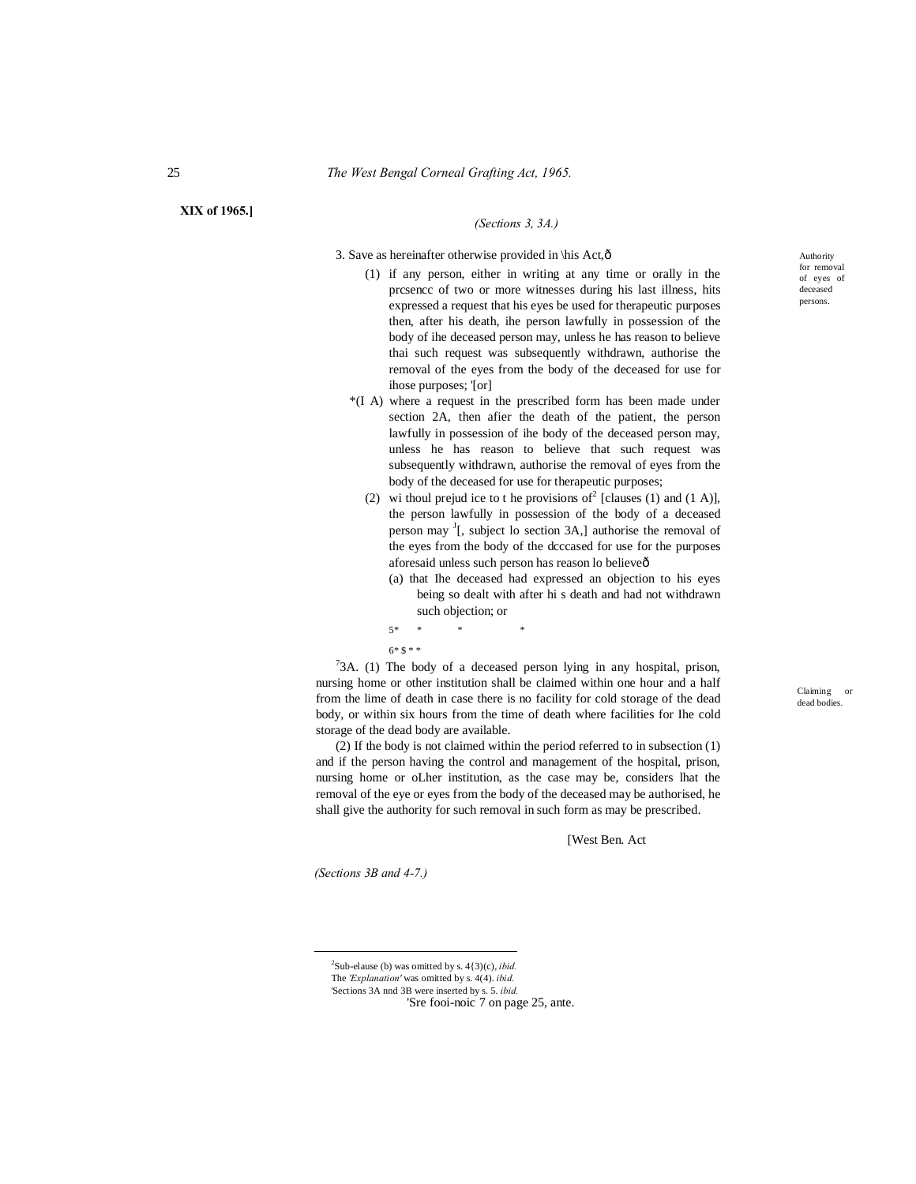#### **XIX of 1965.]**

## *(Sections 3, 3A.)*

3. Save as hereinafter otherwise provided in \his Act,ô

- (1) if any person, either in writing at any time or orally in the prcsencc of two or more witnesses during his last illness, hits expressed a request that his eyes be used for therapeutic purposes then, after his death, ihe person lawfully in possession of the body of ihe deceased person may, unless he has reason to believe thai such request was subsequently withdrawn, authorise the removal of the eyes from the body of the deceased for use for ihose purposes; '[or]
- \*(I A) where a request in the prescribed form has been made under section 2A, then afier the death of the patient, the person lawfully in possession of ihe body of the deceased person may, unless he has reason to believe that such request was subsequently withdrawn, authorise the removal of eyes from the body of the deceased for use for therapeutic purposes;
	- (2) wi thoul prejud ice to t he provisions of  $^2$  [clauses (1) and (1 A)], the person lawfully in possession of the body of a deceased person may  $\frac{1}{1}$ , subject lo section 3A,] authorise the removal of the eyes from the body of the dcccased for use for the purposes aforesaid unless such person has reason lo believe—
		- (a) that Ihe deceased had expressed an objection to his eyes being so dealt with after hi s death and had not withdrawn such objection; or

5\* \* \* \*  $6 * 8 * *$ 

 $73A$ . (1) The body of a deceased person lying in any hospital, prison, nursing home or other institution shall be claimed within one hour and a half from the lime of death in case there is no facility for cold storage of the dead body, or within six hours from the time of death where facilities for Ihe cold storage of the dead body are available.

(2) If the body is not claimed within the period referred to in subsection (1) and if the person having the control and management of the hospital, prison, nursing home or oLher institution, as the case may be, considers lhat the removal of the eye or eyes from the body of the deceased may be authorised, he shall give the authority for such removal in such form as may be prescribed.

[West Ben. Act

*(Sections 3B and 4-7.)*

 $\frac{1}{2}$ 

Authority for removal of eyes of deceased persons.

The *'Explanation'* was omitted by s. 4(4). *ibid.*

<sup>&#</sup>x27;Sections 3A nnd 3B were inserted by s. 5. *ibid.* 'Sre fooi-noic 7 on page 25, ante.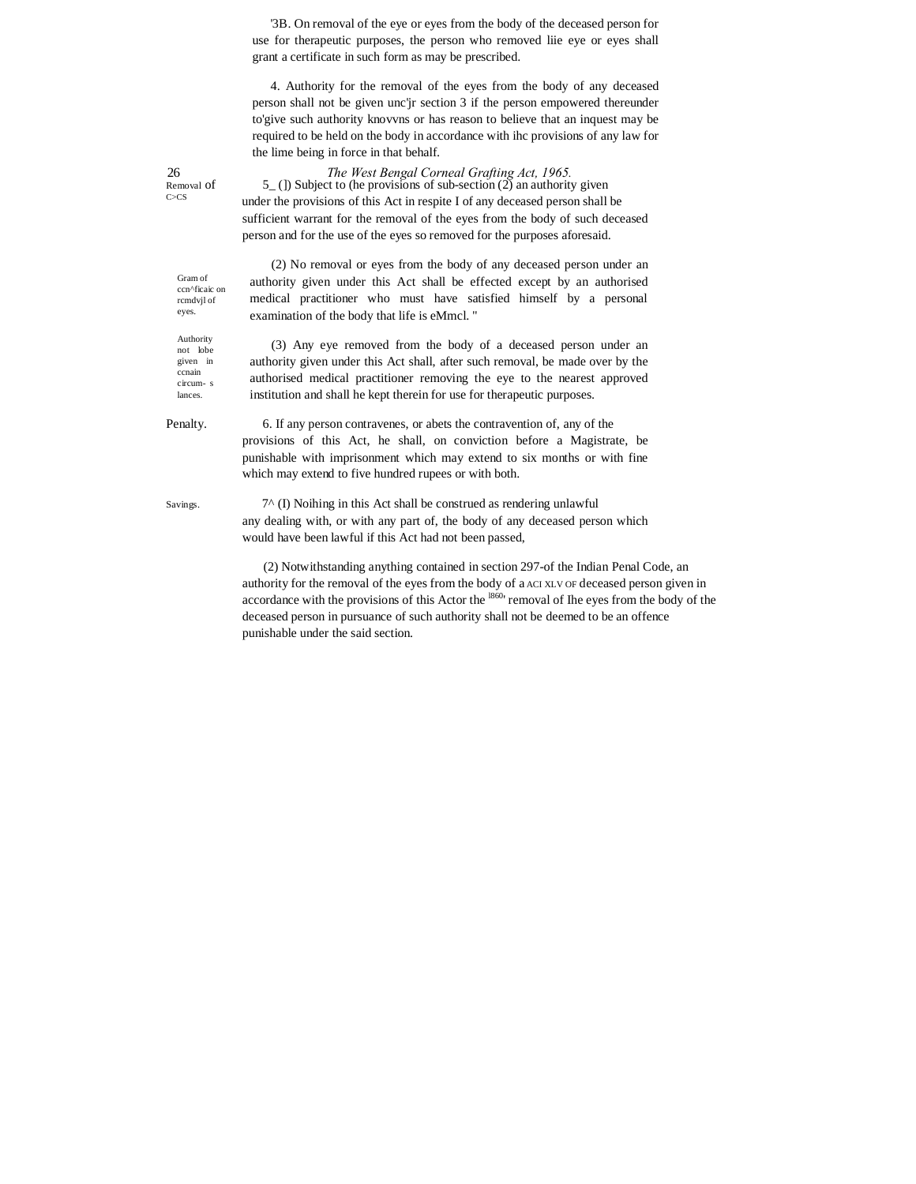'3B. On removal of the eye or eyes from the body of the deceased person for use for therapeutic purposes, the person who removed liie eye or eyes shall grant a certificate in such form as may be prescribed.

4. Authority for the removal of the eyes from the body of any deceased person shall not be given unc'jr section 3 if the person empowered thereunder to'give such authority knovvns or has reason to believe that an inquest may be required to be held on the body in accordance with ihc provisions of any law for the lime being in force in that behalf.

26 *The West Bengal Corneal Grafting Act, 1965.* Removal of  $5_{-}$  ()) Subject to (he provisions of sub-section (2) an authority given<br>C>Cs under the against of this Act in gasnite Lef any decased names shall under the provisions of this Act in respite I of any deceased person shall be sufficient warrant for the removal of the eyes from the body of such deceased person and for the use of the eyes so removed for the purposes aforesaid.

> (2) No removal or eyes from the body of any deceased person under an authority given under this Act shall be effected except by an authorised medical practitioner who must have satisfied himself by a personal examination of the body that life is eMmcl. "

> (3) Any eye removed from the body of a deceased person under an authority given under this Act shall, after such removal, be made over by the authorised medical practitioner removing the eye to the nearest approved institution and shall he kept therein for use for therapeutic purposes.

Penalty. 6. If any person contravenes, or abets the contravention of, any of the provisions of this Act, he shall, on conviction before a Magistrate, be punishable with imprisonment which may extend to six months or with fine which may extend to five hundred rupees or with both.

Savings. 7^ (I) Noihing in this Act shall be construed as rendering unlawful any dealing with, or with any part of, the body of any deceased person which would have been lawful if this Act had not been passed,

> (2) Notwithstanding anything contained in section 297-of the Indian Penal Code, an authority for the removal of the eyes from the body of a ACI XLV OF deceased person given in accordance with the provisions of this Actor the  $^{1860}$  removal of Ihe eyes from the body of the deceased person in pursuance of such authority shall not be deemed to be an offence punishable under the said section.

Gram of ccn^ficaic on rcmdvjl of eyes.

Authority not lobe given in ccnain circum- s lances.